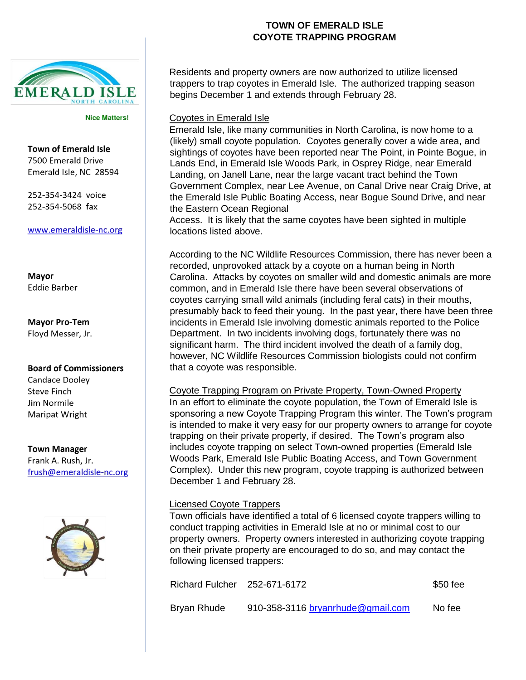

**Nice Matters!** 

**Town of Emerald Isle** 7500 Emerald Drive Emerald Isle, NC 28594

252-354-3424 voice 252-354-5068 fax

www.emeraldisle-nc.org

Mayor **Eddie Barber** 

**Mayor Pro-Tem** Floyd Messer, Jr.

## **Board of Commissioners**

Candace Dooley **Steve Finch** Jim Normile Maripat Wright

**Town Manager** Frank A. Rush, Jr. frush@emeraldisle-nc.org



## **TOWN OF EMERALD ISLE COYOTE TRAPPING PROGRAM**

Residents and property owners are now authorized to utilize licensed trappers to trap coyotes in Emerald Isle. The authorized trapping season begins December 1 and extends through February 28.

Coyotes in Emerald Isle

Emerald Isle, like many communities in North Carolina, is now home to a (likely) small coyote population. Coyotes generally cover a wide area, and sightings of coyotes have been reported near The Point, in Pointe Bogue, in Lands End, in Emerald Isle Woods Park, in Osprey Ridge, near Emerald Landing, on Janell Lane, near the large vacant tract behind the Town Government Complex, near Lee Avenue, on Canal Drive near Craig Drive, at the Emerald Isle Public Boating Access, near Bogue Sound Drive, and near the Eastern Ocean Regional

Access. It is likely that the same coyotes have been sighted in multiple locations listed above.

According to the NC Wildlife Resources Commission, there has never been a recorded, unprovoked attack by a coyote on a human being in North Carolina. Attacks by coyotes on smaller wild and domestic animals are more common, and in Emerald Isle there have been several observations of coyotes carrying small wild animals (including feral cats) in their mouths, presumably back to feed their young. In the past year, there have been three incidents in Emerald Isle involving domestic animals reported to the Police Department. In two incidents involving dogs, fortunately there was no significant harm. The third incident involved the death of a family dog, however, NC Wildlife Resources Commission biologists could not confirm that a coyote was responsible.

Coyote Trapping Program on Private Property, Town-Owned Property In an effort to eliminate the coyote population, the Town of Emerald Isle is sponsoring a new Coyote Trapping Program this winter. The Town's program is intended to make it very easy for our property owners to arrange for coyote trapping on their private property, if desired. The Town's program also includes coyote trapping on select Town-owned properties (Emerald Isle Woods Park, Emerald Isle Public Boating Access, and Town Government Complex). Under this new program, coyote trapping is authorized between December 1 and February 28.

## Licensed Coyote Trappers

Town officials have identified a total of 6 licensed coyote trappers willing to conduct trapping activities in Emerald Isle at no or minimal cost to our property owners. Property owners interested in authorizing coyote trapping on their private property are encouraged to do so, and may contact the following licensed trappers:

| Richard Fulcher 252-671-6172 |                                   | $$50$ fee |
|------------------------------|-----------------------------------|-----------|
| Bryan Rhude                  | 910-358-3116 bryanrhude@gmail.com | No fee    |